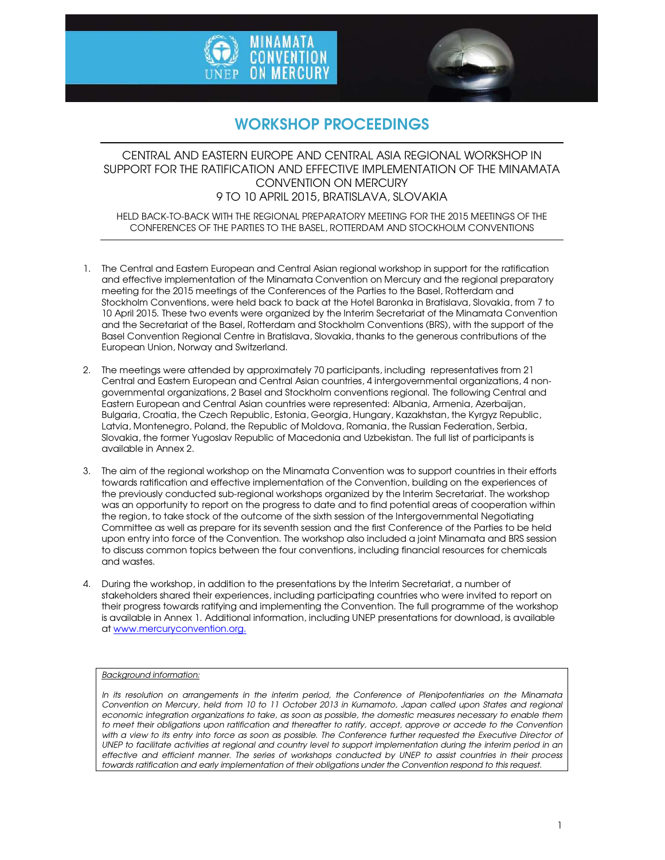



# WORKSHOP PROCEEDINGS

## CENTRAL AND EASTERN EUROPE AND CENTRAL ASIA REGIONAL WORKSHOP IN SUPPORT FOR THE RATIFICATION AND EFFECTIVE IMPLEMENTATION OF THE MINAMATA CONVENTION ON MERCURY 9 TO 10 APRIL 2015, BRATISLAVA, SLOVAKIA

HELD BACK-TO-BACK WITH THE REGIONAL PREPARATORY MEETING FOR THE 2015 MEETINGS OF THE CONFERENCES OF THE PARTIES TO THE BASEL, ROTTERDAM AND STOCKHOLM CONVENTIONS

- 1. The Central and Eastern European and Central Asian regional workshop in support for the ratification and effective implementation of the Minamata Convention on Mercury and the regional preparatory meeting for the 2015 meetings of the Conferences of the Parties to the Basel, Rotterdam and Stockholm Conventions, were held back to back at the Hotel Baronka in Bratislava, Slovakia, from 7 to 10 April 2015. These two events were organized by the Interim Secretariat of the Minamata Convention and the Secretariat of the Basel, Rotterdam and Stockholm Conventions (BRS), with the support of the Basel Convention Regional Centre in Bratislava, Slovakia, thanks to the generous contributions of the European Union, Norway and Switzerland.
- 2. The meetings were attended by approximately 70 participants, including representatives from 21 Central and Eastern European and Central Asian countries, 4 intergovernmental organizations, 4 nongovernmental organizations, 2 Basel and Stockholm conventions regional. The following Central and Eastern European and Central Asian countries were represented: Albania, Armenia, Azerbaijan, Bulgaria, Croatia, the Czech Republic, Estonia, Georgia, Hungary, Kazakhstan, the Kyrgyz Republic, Latvia, Montenegro, Poland, the Republic of Moldova, Romania, the Russian Federation, Serbia, Slovakia, the former Yugoslav Republic of Macedonia and Uzbekistan. The full list of participants is available in Annex 2.
- 3. The aim of the regional workshop on the Minamata Convention was to support countries in their efforts towards ratification and effective implementation of the Convention, building on the experiences of the previously conducted sub-regional workshops organized by the Interim Secretariat. The workshop was an opportunity to report on the progress to date and to find potential areas of cooperation within the region, to take stock of the outcome of the sixth session of the Intergovernmental Negotiating Committee as well as prepare for its seventh session and the first Conference of the Parties to be held upon entry into force of the Convention. The workshop also included a joint Minamata and BRS session to discuss common topics between the four conventions, including financial resources for chemicals and wastes.
- 4. During the workshop, in addition to the presentations by the Interim Secretariat, a number of stakeholders shared their experiences, including participating countries who were invited to report on their progress towards ratifying and implementing the Convention. The full programme of the workshop is available in Annex 1. Additional information, including UNEP presentations for download, is available at www.mercuryconvention.org.

#### *Background information:*

*In its resolution on arrangements in the interim period, the Conference of Plenipotentiaries on the Minamata Convention on Mercury, held from 10 to 11 October 2013 in Kumamoto, Japan called upon States and regional economic integration organizations to take, as soon as possible, the domestic measures necessary to enable them*  to meet their obligations upon ratification and thereafter to ratify, accept, approve or accede to the Convention with a view to its entry into force as soon as possible. The Conference further requested the Executive Director of UNEP to facilitate activities at regional and country level to support implementation during the interim period in an *effective and efficient manner. The series of workshops conducted by UNEP to assist countries in their process towards ratification and early implementation of their obligations under the Convention respond to this request.*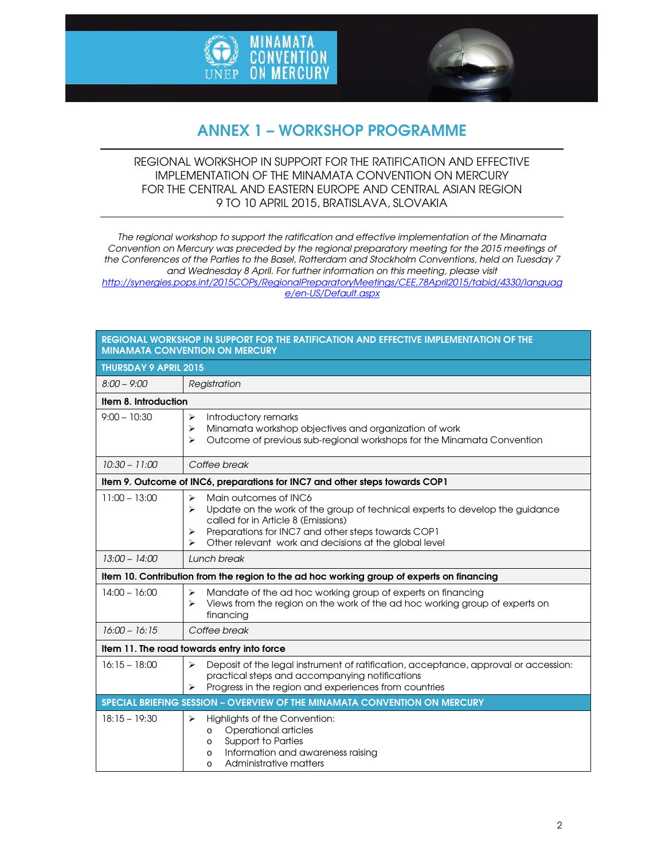



# ANNEX 1 – WORKSHOP PROGRAMME

## REGIONAL WORKSHOP IN SUPPORT FOR THE RATIFICATION AND EFFECTIVE IMPLEMENTATION OF THE MINAMATA CONVENTION ON MERCURY FOR THE CENTRAL AND EASTERN EUROPE AND CENTRAL ASIAN REGION 9 TO 10 APRIL 2015, BRATISLAVA, SLOVAKIA

*The regional workshop to support the ratification and effective implementation of the Minamata Convention on Mercury was preceded by the regional preparatory meeting for the 2015 meetings of the Conferences of the Parties to the Basel, Rotterdam and Stockholm Conventions, held on Tuesday 7 and Wednesday 8 April. For further information on this meeting, please visit http://synergies.pops.int/2015COPs/RegionalPreparatoryMeetings/CEE,78April2015/tabid/4330/languag*

*e/en-US/Default.aspx* 

| <b>MINAMATA CONVENTION ON MERCURY</b>      |                                                                                                                                                                                                                                                                                                                         |  |
|--------------------------------------------|-------------------------------------------------------------------------------------------------------------------------------------------------------------------------------------------------------------------------------------------------------------------------------------------------------------------------|--|
| <b>THURSDAY 9 APRIL 2015</b>               |                                                                                                                                                                                                                                                                                                                         |  |
| $8:00 - 9:00$                              | Registration                                                                                                                                                                                                                                                                                                            |  |
| Item 8. Introduction                       |                                                                                                                                                                                                                                                                                                                         |  |
| $9:00 - 10:30$                             | Introductory remarks<br>➤<br>Minamata workshop objectives and organization of work<br>≻<br>Outcome of previous sub-regional workshops for the Minamata Convention<br>⋗                                                                                                                                                  |  |
| $10:30 - 11:00$                            | Coffee break                                                                                                                                                                                                                                                                                                            |  |
|                                            | Item 9. Outcome of INC6, preparations for INC7 and other steps towards COP1                                                                                                                                                                                                                                             |  |
| $11:00 - 13:00$                            | Main outcomes of INC6<br>$\blacktriangleright$<br>Update on the work of the group of technical experts to develop the guidance<br>$\blacktriangleright$<br>called for in Article 8 (Emissions)<br>Preparations for INC7 and other steps towards COP1<br>⋗<br>Other relevant work and decisions at the global level<br>⋗ |  |
| $13:00 - 14:00$                            | Lunch break                                                                                                                                                                                                                                                                                                             |  |
|                                            | Item 10. Contribution from the region to the ad hoc working group of experts on financing                                                                                                                                                                                                                               |  |
| $14:00 - 16:00$                            | Mandate of the ad hoc working group of experts on financing<br>≻<br>Views from the region on the work of the ad hoc working group of experts on<br>⋗<br>financing                                                                                                                                                       |  |
| $16:00 - 16:15$                            | Coffee break                                                                                                                                                                                                                                                                                                            |  |
| Item 11. The road towards entry into force |                                                                                                                                                                                                                                                                                                                         |  |
| $16:15 - 18:00$                            | Deposit of the legal instrument of ratification, acceptance, approval or accession:<br>≻<br>practical steps and accompanying notifications<br>Progress in the region and experiences from countries<br>⋗                                                                                                                |  |
|                                            | SPECIAL BRIEFING SESSION - OVERVIEW OF THE MINAMATA CONVENTION ON MERCURY                                                                                                                                                                                                                                               |  |
| $18:15 - 19:30$                            | Highlights of the Convention:<br>≻<br>Operational articles<br>$\circ$<br><b>Support to Parties</b><br>$\circ$<br>Information and awareness raising<br>$\circ$<br>Administrative matters<br>$\circ$                                                                                                                      |  |

REGIONAL WORKSHOP IN SUPPORT FOR THE RATIFICATION AND EFFECTIVE IMPLEMENTATION OF THE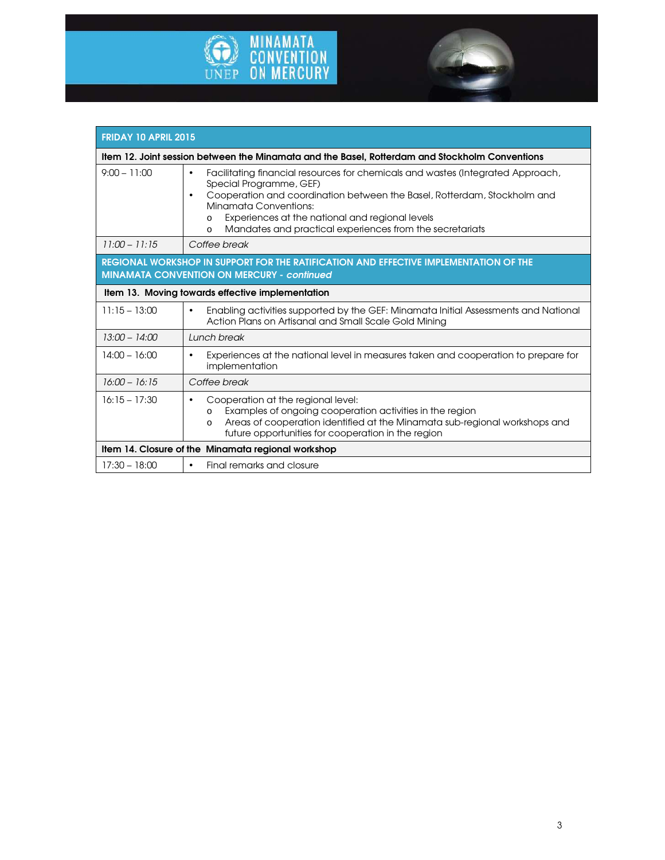

г



| <b>FRIDAY 10 APRIL 2015</b>                                                                                                                |                                                                                                                                                                                                                                                                                                                                                                                 |  |
|--------------------------------------------------------------------------------------------------------------------------------------------|---------------------------------------------------------------------------------------------------------------------------------------------------------------------------------------------------------------------------------------------------------------------------------------------------------------------------------------------------------------------------------|--|
| Item 12. Joint session between the Minamata and the Basel, Rotterdam and Stockholm Conventions                                             |                                                                                                                                                                                                                                                                                                                                                                                 |  |
| $9:00 - 11:00$                                                                                                                             | Facilitating financial resources for chemicals and wastes (Integrated Approach,<br>$\bullet$<br>Special Programme, GEF)<br>Cooperation and coordination between the Basel, Rotterdam, Stockholm and<br>$\bullet$<br>Minamata Conventions:<br>Experiences at the national and regional levels<br>$\circ$<br>Mandates and practical experiences from the secretariats<br>$\Omega$ |  |
| $11:00 - 11:15$                                                                                                                            | Coffee break                                                                                                                                                                                                                                                                                                                                                                    |  |
| REGIONAL WORKSHOP IN SUPPORT FOR THE RATIFICATION AND EFFECTIVE IMPLEMENTATION OF THE<br><b>MINAMATA CONVENTION ON MERCURY - continued</b> |                                                                                                                                                                                                                                                                                                                                                                                 |  |
| Item 13. Moving towards effective implementation                                                                                           |                                                                                                                                                                                                                                                                                                                                                                                 |  |
| $11:15 - 13:00$                                                                                                                            | Enabling activities supported by the GEF: Minamata Initial Assessments and National<br>$\bullet$<br>Action Plans on Artisanal and Small Scale Gold Mining                                                                                                                                                                                                                       |  |
| $13:00 - 14:00$                                                                                                                            | Lunch break                                                                                                                                                                                                                                                                                                                                                                     |  |
| $14:00 - 16:00$                                                                                                                            | Experiences at the national level in measures taken and cooperation to prepare for<br>$\bullet$<br>implementation                                                                                                                                                                                                                                                               |  |
| $16:00 - 16:15$                                                                                                                            | Coffee break                                                                                                                                                                                                                                                                                                                                                                    |  |
| $16:15 - 17:30$                                                                                                                            | Cooperation at the regional level:<br>٠<br>Examples of ongoing cooperation activities in the region<br>O<br>Areas of cooperation identified at the Minamata sub-regional workshops and<br>$\circ$<br>future opportunities for cooperation in the region                                                                                                                         |  |
| Item 14. Closure of the Minamata regional workshop                                                                                         |                                                                                                                                                                                                                                                                                                                                                                                 |  |
| $17:30 - 18:00$                                                                                                                            | Final remarks and closure<br>$\bullet$                                                                                                                                                                                                                                                                                                                                          |  |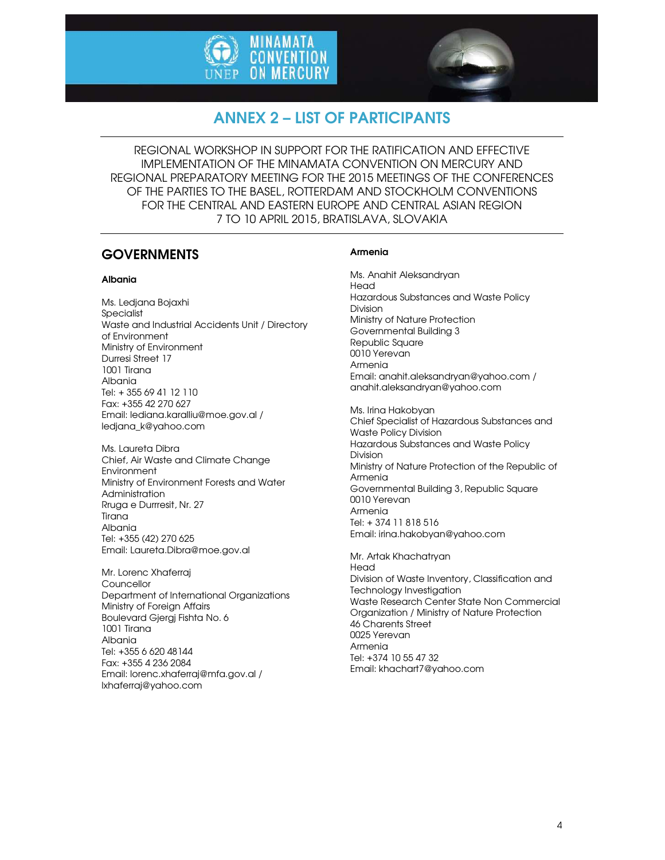



# ANNEX 2 – LIST OF PARTICIPANTS

REGIONAL WORKSHOP IN SUPPORT FOR THE RATIFICATION AND EFFECTIVE IMPLEMENTATION OF THE MINAMATA CONVENTION ON MERCURY AND REGIONAL PREPARATORY MEETING FOR THE 2015 MEETINGS OF THE CONFERENCES OF THE PARTIES TO THE BASEL, ROTTERDAM AND STOCKHOLM CONVENTIONS FOR THE CENTRAL AND EASTERN EUROPE AND CENTRAL ASIAN REGION 7 TO 10 APRIL 2015, BRATISLAVA, SLOVAKIA

## **GOVERNMENTS**

### Albania

Ms. Ledjana Bojaxhi **Specialist** Waste and Industrial Accidents Unit / Directory of Environment Ministry of Environment Durresi Street 17 1001 Tirana Albania Tel: + 355 69 41 12 110 Fax: +355 42 270 627 Email: lediana.karalliu@moe.gov.al / ledjana\_k@yahoo.com

Ms. Laureta Dibra Chief, Air Waste and Climate Change Environment Ministry of Environment Forests and Water Administration Rruga e Durrresit, Nr. 27 Tirana Albania Tel: +355 (42) 270 625 Email: Laureta.Dibra@moe.gov.al

Mr. Lorenc Xhaferraj **Councellor** Department of International Organizations Ministry of Foreign Affairs Boulevard Gjergj Fishta No. 6 1001 Tirana Albania Tel: +355 6 620 48144 Fax: +355 4 236 2084 Email: lorenc.xhaferraj@mfa.gov.al / lxhaferraj@yahoo.com

### Armenia

Ms. Anahit Aleksandryan Head Hazardous Substances and Waste Policy Division Ministry of Nature Protection Governmental Building 3 Republic Square 0010 Yerevan Armenia Email: anahit.aleksandryan@yahoo.com / anahit.aleksandryan@yahoo.com

Ms. Irina Hakobyan Chief Specialist of Hazardous Substances and Waste Policy Division Hazardous Substances and Waste Policy Division Ministry of Nature Protection of the Republic of Armenia Governmental Building 3, Republic Square 0010 Yerevan Armenia Tel: + 374 11 818 516 Email: irina.hakobyan@yahoo.com

Mr. Artak Khachatryan Head Division of Waste Inventory, Classification and Technology Investigation Waste Research Center State Non Commercial Organization / Ministry of Nature Protection 46 Charents Street 0025 Yerevan Armenia Tel: +374 10 55 47 32 Email: khachart7@yahoo.com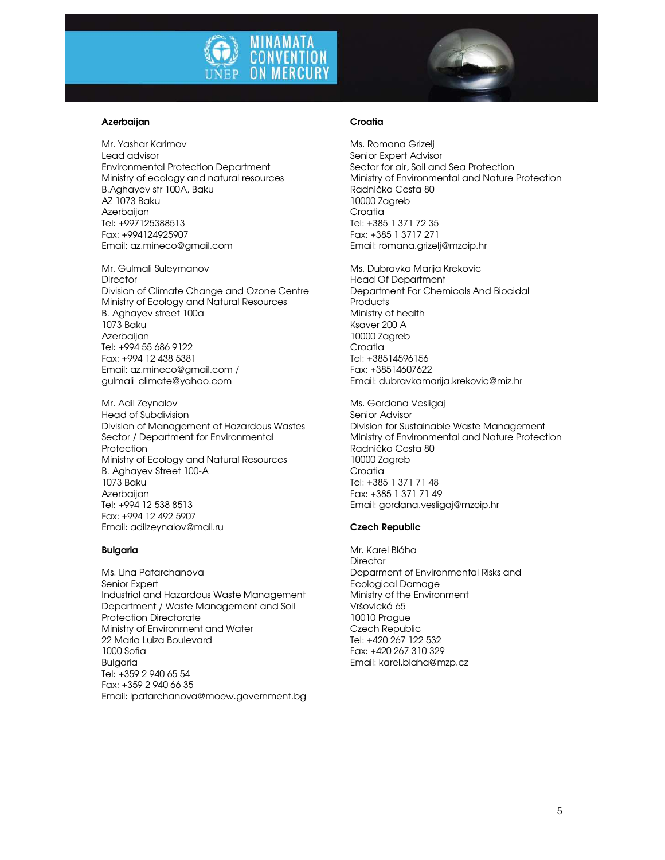

#### Azerbaijan

Mr. Yashar Karimov Lead advisor Environmental Protection Department Ministry of ecology and natural resources B.Aghayev str 100A, Baku AZ 1073 Baku Azerbaijan Tel: +997125388513 Fax: +994124925907 Email: az.mineco@gmail.com

Mr. Gulmali Suleymanov **Director** Division of Climate Change and Ozone Centre Ministry of Ecology and Natural Resources B. Aghayev street 100a 1073 Baku **Azerbaijan** Tel: +994 55 686 9122 Fax: +994 12 438 5381 Email: az.mineco@gmail.com / gulmali\_climate@yahoo.com

Mr. Adil Zeynalov Head of Subdivision Division of Management of Hazardous Wastes Sector / Department for Environmental Protection Ministry of Ecology and Natural Resources B. Aghayev Street 100-A 1073 Baku **Azerbaijan** Tel: +994 12 538 8513 Fax: +994 12 492 5907 Email: adilzeynalov@mail.ru

#### Bulgaria

Ms. Lina Patarchanova Senior Expert Industrial and Hazardous Waste Management Department / Waste Management and Soil Protection Directorate Ministry of Environment and Water 22 Maria Luiza Boulevard 1000 Sofia Bulgaria Tel: +359 2 940 65 54 Fax: +359 2 940 66 35 Email: lpatarchanova@moew.government.bg

#### **Croatia**

Ms. Romana Grizelj Senior Expert Advisor Sector for air, Soil and Sea Protection Ministry of Environmental and Nature Protection Radnička Cesta 80 10000 Zagreb Croatia Tel: +385 1 371 72 35 Fax: +385 1 3717 271 Email: romana.grizelj@mzoip.hr

Ms. Dubravka Marija Krekovic Head Of Department Department For Chemicals And Biocidal **Products** Ministry of health Ksaver 200 A 10000 Zagreb Croatia Tel: +38514596156 Fax: +38514607622 Email: dubravkamarija.krekovic@miz.hr

Ms. Gordana Vesligaj Senior Advisor Division for Sustainable Waste Management Ministry of Environmental and Nature Protection Radnička Cesta 80 10000 Zagreb **Croatia** Tel: +385 1 371 71 48 Fax: +385 1 371 71 49 Email: gordana.vesligaj@mzoip.hr

#### Czech Republic

Mr. Karel Bláha **Director** Deparment of Environmental Risks and Ecological Damage Ministry of the Environment Vršovická 65 10010 Prague Czech Republic Tel: +420 267 122 532 Fax: +420 267 310 329 Email: karel.blaha@mzp.cz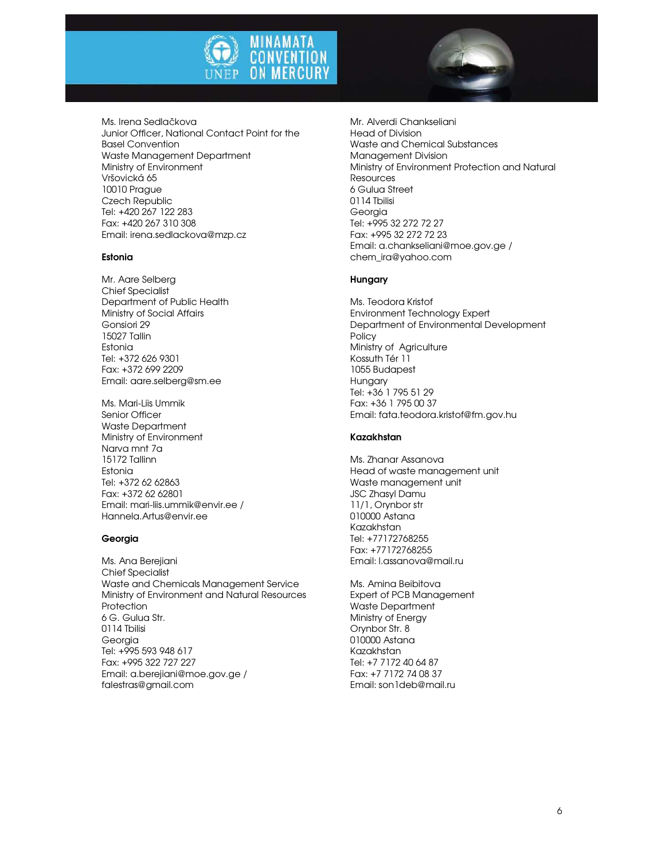



#### Estonia

Mr. Aare Selberg Chief Specialist Department of Public Health Ministry of Social Affairs Gonsiori 29 15027 Tallin Estonia Tel: +372 626 9301 Fax: +372 699 2209 Email: aare.selberg@sm.ee

Ms. Mari-Liis Ummik Senior Officer Waste Department Ministry of Environment Narva mnt 7a 15172 Tallinn Estonia Tel: +372 62 62863 Fax: +372 62 62801 Email: mari-liis.ummik@envir.ee / Hannela.Artus@envir.ee

#### Georgia

Ms. Ana Berejiani Chief Specialist Waste and Chemicals Management Service Ministry of Environment and Natural Resources **Protection** 6 G. Gulua Str. 0114 Tbilisi Georgia Tel: +995 593 948 617 Fax: +995 322 727 227 Email: a.berejiani@moe.gov.ge / falestras@gmail.com

Mr. Alverdi Chankseliani Head of Division Waste and Chemical Substances Management Division Ministry of Environment Protection and Natural Resources 6 Gulua Street 0114 Tbilisi Georgia Tel: +995 32 272 72 27 Fax: +995 32 272 72 23 Email: a.chankseliani@moe.gov.ge / chem\_ira@yahoo.com

#### Hungary

Ms. Teodora Kristof Environment Technology Expert Department of Environmental Development Policy Ministry of Agriculture Kossuth Tér 11 1055 Budapest Hungary Tel: +36 1 795 51 29 Fax: +36 1 795 00 37 Email: fata.teodora.kristof@fm.gov.hu

#### Kazakhstan

Ms. Zhanar Assanova Head of waste management unit Waste management unit JSC Zhasyl Damu 11/1, Orynbor str 010000 Astana Kazakhstan Tel: +77172768255 Fax: +77172768255 Email: l.assanova@mail.ru

Ms. Amina Beibitova Expert of PCB Management Waste Department Ministry of Energy Orynbor Str. 8 010000 Astana Kazakhstan Tel: +7 7172 40 64 87 Fax: +7 7172 74 08 37 Email: son1deb@mail.ru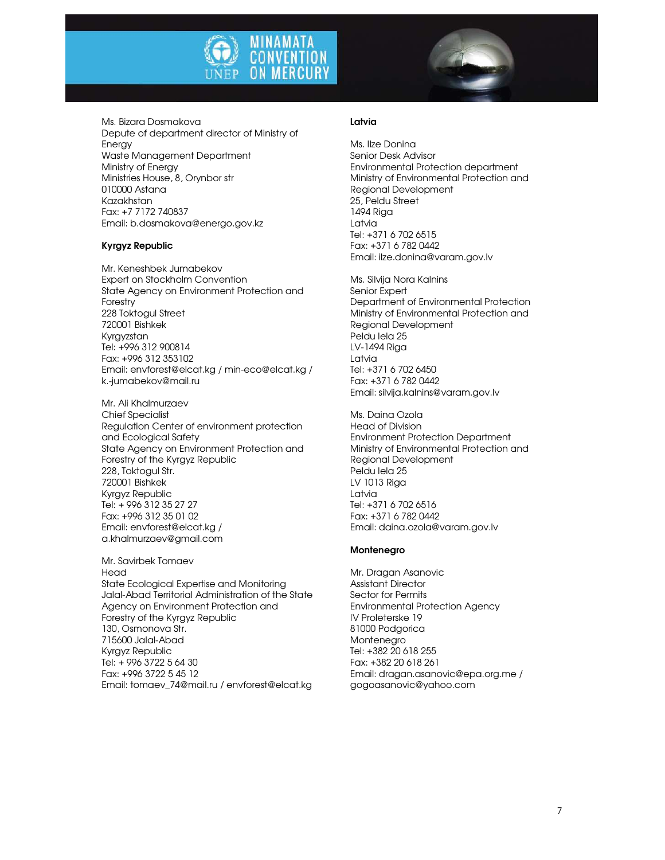



Ms. Bizara Dosmakova Depute of department director of Ministry of Energy Waste Management Department Ministry of Energy Ministries House, 8, Orynbor str 010000 Astana Kazakhstan Fax: +7 7172 740837 Email: b.dosmakova@energo.gov.kz

### Kyrgyz Republic

Mr. Keneshbek Jumabekov Expert on Stockholm Convention State Agency on Environment Protection and Forestry 228 Toktogul Street 720001 Bishkek Kyrgyzstan Tel: +996 312 900814 Fax: +996 312 353102 Email: envforest@elcat.kg / min-eco@elcat.kg / k.-jumabekov@mail.ru

Mr. Ali Khalmurzaev Chief Specialist Regulation Center of environment protection and Ecological Safety State Agency on Environment Protection and Forestry of the Kyrgyz Republic 228, Toktogul Str. 720001 Bishkek Kyrgyz Republic Tel: + 996 312 35 27 27 Fax: +996 312 35 01 02 Email: envforest@elcat.kg / a.khalmurzaev@gmail.com

Mr. Savirbek Tomaev Head State Ecological Expertise and Monitoring Jalal-Abad Territorial Administration of the State Agency on Environment Protection and Forestry of the Kyrgyz Republic 130, Osmonova Str. 715600 Jalal-Abad Kyrgyz Republic Tel: + 996 3722 5 64 30 Fax: +996 3722 5 45 12 Email: tomaev\_74@mail.ru / envforest@elcat.kg

#### Latvia

Ms. Ilze Donina Senior Desk Advisor Environmental Protection department Ministry of Environmental Protection and Regional Development 25, Peldu Street 1494 Riga Latvia Tel: +371 6 702 6515 Fax: +371 6 782 0442 Email: ilze.donina@varam.gov.lv

Ms. Silvija Nora Kalnins Senior Expert Department of Environmental Protection Ministry of Environmental Protection and Regional Development Peldu Iela 25 LV-1494 Riga Latvia Tel: +371 6 702 6450 Fax: +371 6 782 0442 Email: silvija.kalnins@varam.gov.lv

Ms. Daina Ozola Head of Division Environment Protection Department Ministry of Environmental Protection and Regional Development Peldu Iela 25 LV 1013 Riga Latvia Tel: +371 6 702 6516 Fax: +371 6 782 0442 Email: daina.ozola@varam.gov.lv

#### Montenegro

Mr. Dragan Asanovic Assistant Director Sector for Permits Environmental Protection Agency IV Proleterske 19 81000 Podgorica Montenegro Tel: +382 20 618 255 Fax: +382 20 618 261 Email: dragan.asanovic@epa.org.me / gogoasanovic@yahoo.com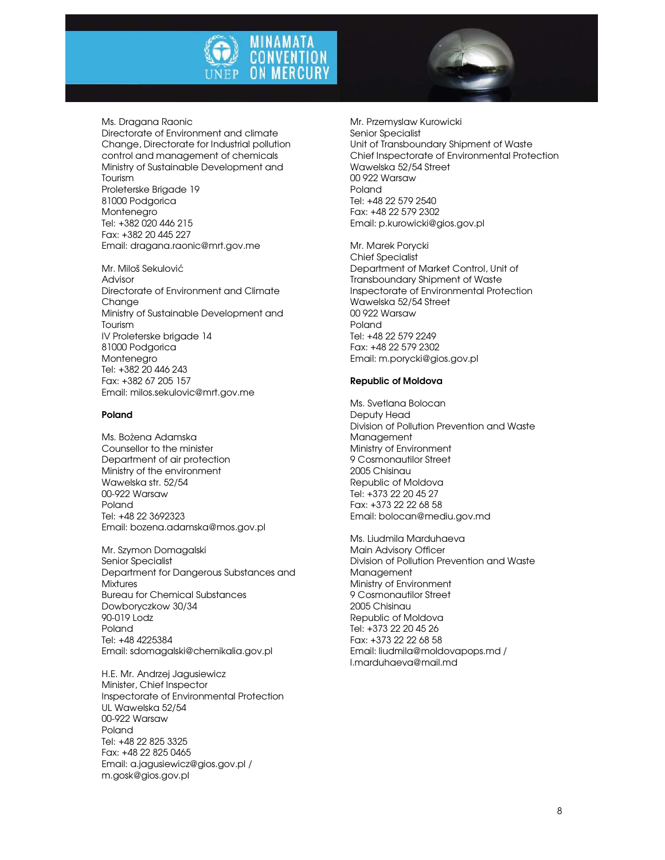



Ms. Dragana Raonic Directorate of Environment and climate Change, Directorate for Industrial pollution control and management of chemicals Ministry of Sustainable Development and Tourism Proleterske Brigade 19 81000 Podgorica Montenegro Tel: +382 020 446 215 Fax: +382 20 445 227 Email: dragana.raonic@mrt.gov.me

Mr. Miloš Sekulović Advisor Directorate of Environment and Climate Change Ministry of Sustainable Development and Tourism IV Proleterske brigade 14 81000 Podgorica Montenegro Tel: +382 20 446 243 Fax: +382 67 205 157 Email: milos.sekulovic@mrt.gov.me

#### Poland

Ms. Bożena Adamska Counsellor to the minister Department of air protection Ministry of the environment Wawelska str. 52/54 00-922 Warsaw Poland Tel: +48 22 3692323 Email: bozena.adamska@mos.gov.pl

Mr. Szymon Domagalski Senior Specialist Department for Dangerous Substances and **Mixtures** Bureau for Chemical Substances Dowboryczkow 30/34 90-019 Lodz Poland Tel: +48 4225384 Email: sdomagalski@chemikalia.gov.pl

H.E. Mr. Andrzej Jagusiewicz Minister, Chief Inspector Inspectorate of Environmental Protection UL Wawelska 52/54 00-922 Warsaw Poland Tel: +48 22 825 3325 Fax: +48 22 825 0465 Email: a.jagusiewicz@gios.gov.pl / m.gosk@gios.gov.pl

Mr. Przemyslaw Kurowicki Senior Specialist Unit of Transboundary Shipment of Waste Chief Inspectorate of Environmental Protection Wawelska 52/54 Street 00 922 Warsaw Poland Tel: +48 22 579 2540 Fax: +48 22 579 2302 Email: p.kurowicki@gios.gov.pl

Mr. Marek Porycki Chief Specialist Department of Market Control, Unit of Transboundary Shipment of Waste Inspectorate of Environmental Protection Wawelska 52/54 Street 00 922 Warsaw Poland Tel: +48 22 579 2249 Fax: +48 22 579 2302 Email: m.porycki@gios.gov.pl

#### Republic of Moldova

Ms. Svetlana Bolocan Deputy Head Division of Pollution Prevention and Waste Management Ministry of Environment 9 Cosmonautilor Street 2005 Chisinau Republic of Moldova Tel: +373 22 20 45 27 Fax: +373 22 22 68 58 Email: bolocan@mediu.gov.md

Ms. Liudmila Marduhaeva Main Advisory Officer Division of Pollution Prevention and Waste Management Ministry of Environment 9 Cosmonautilor Street 2005 Chisinau Republic of Moldova Tel: +373 22 20 45 26 Fax: +373 22 22 68 58 Email: liudmila@moldovapops.md / l.marduhaeva@mail.md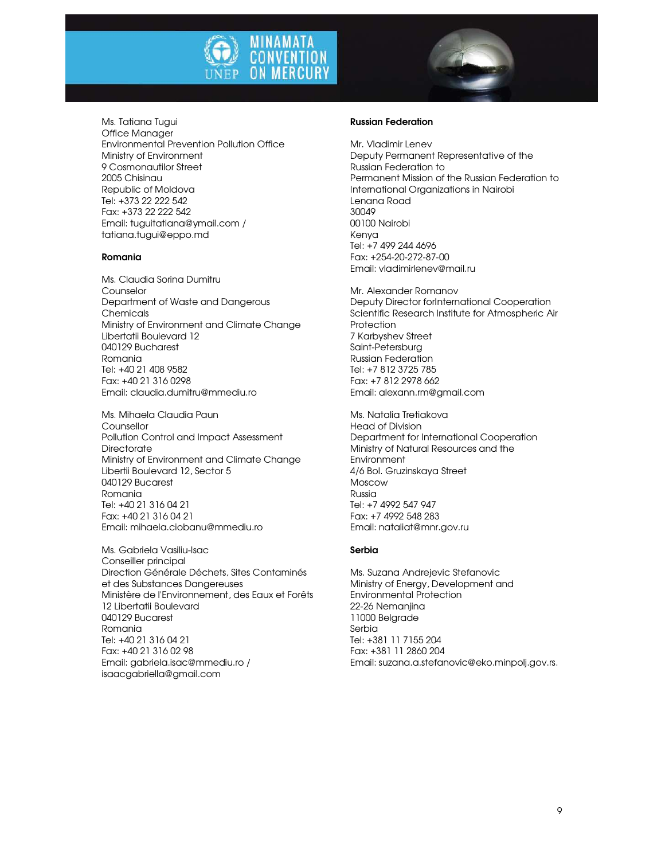



Ms. Tatiana Tugui Office Manager Environmental Prevention Pollution Office Ministry of Environment 9 Cosmonautilor Street 2005 Chisinau Republic of Moldova Tel: +373 22 222 542 Fax: +373 22 222 542 Email: tuguitatiana@ymail.com / tatiana.tugui@eppo.md

#### Romania

Ms. Claudia Sorina Dumitru Counselor Department of Waste and Dangerous Chemicals Ministry of Environment and Climate Change Libertatii Boulevard 12 040129 Bucharest Romania Tel: +40 21 408 9582 Fax: +40 21 316 0298 Email: claudia.dumitru@mmediu.ro

Ms. Mihaela Claudia Paun Counsellor Pollution Control and Impact Assessment **Directorate** Ministry of Environment and Climate Change Libertii Boulevard 12, Sector 5 040129 Bucarest Romania Tel: +40 21 316 04 21 Fax: +40 21 316 04 21 Email: mihaela.ciobanu@mmediu.ro

Ms. Gabriela Vasiliu-Isac Conseiller principal Direction Générale Déchets, Sites Contaminés et des Substances Dangereuses Ministère de l'Environnement, des Eaux et Forêts 12 Libertatii Boulevard 040129 Bucarest Romania Tel: +40 21 316 04 21 Fax: +40 21 316 02 98 Email: gabriela.isac@mmediu.ro / isaacgabriella@gmail.com

### Russian Federation

Mr. Vladimir Lenev Deputy Permanent Representative of the Russian Federation to Permanent Mission of the Russian Federation to International Organizations in Nairobi Lenana Road 30049 00100 Nairobi Kenya Tel: +7 499 244 4696 Fax: +254-20-272-87-00 Email: vladimirlenev@mail.ru

Mr. Alexander Romanov Deputy Director forInternational Cooperation Scientific Research Institute for Atmospheric Air **Protection** 7 Karbyshev Street Saint-Petersburg Russian Federation Tel: +7 812 3725 785 Fax: +7 812 2978 662 Email: alexann.rm@gmail.com

Ms. Natalia Tretiakova Head of Division Department for International Cooperation Ministry of Natural Resources and the Environment 4/6 Bol. Gruzinskaya Street Moscow Russia Tel: +7 4992 547 947 Fax: +7 4992 548 283 Email: nataliat@mnr.gov.ru

#### Serbia

Ms. Suzana Andrejevic Stefanovic Ministry of Energy, Development and Environmental Protection 22-26 Nemanjina 11000 Belgrade Serbia Tel: +381 11 7155 204 Fax: +381 11 2860 204 Email: suzana.a.stefanovic@eko.minpolj.gov.rs.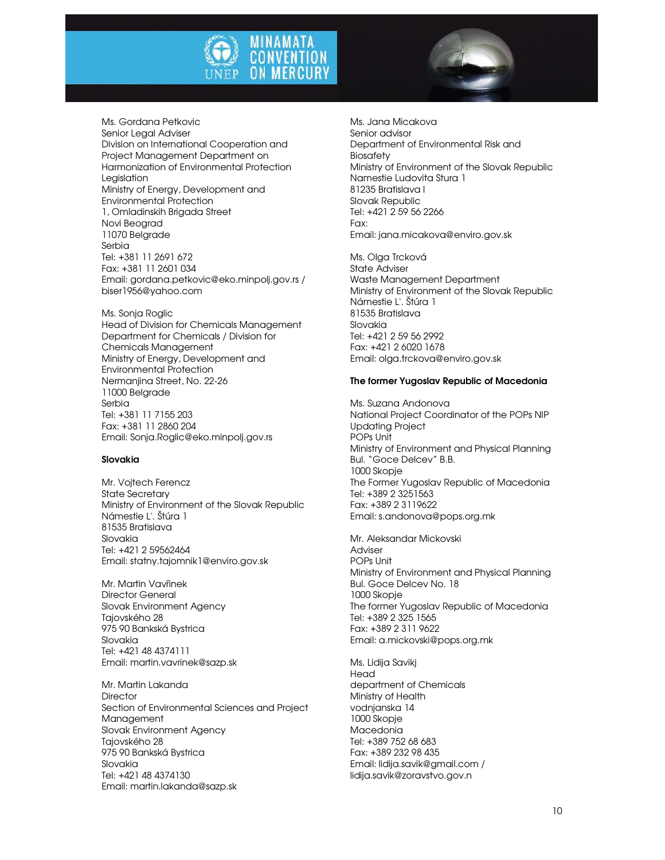

Ms. Gordana Petkovic Senior Legal Adviser Division on International Cooperation and Project Management Department on Harmonization of Environmental Protection Legislation Ministry of Energy, Development and Environmental Protection 1, Omladinskih Brigada Street Novi Beograd 11070 Belgrade Serbia Tel: +381 11 2691 672 Fax: +381 11 2601 034 Email: gordana.petkovic@eko.minpolj.gov.rs / biser1956@yahoo.com

Ms. Sonja Roglic Head of Division for Chemicals Management Department for Chemicals / Division for Chemicals Management Ministry of Energy, Development and Environmental Protection Nermanjina Street, No. 22-26 11000 Belgrade Serbia Tel: +381 11 7155 203 Fax: +381 11 2860 204 Email: Sonja.Roglic@eko.minpolj.gov.rs

#### Slovakia

Mr. Vojtech Ferencz State Secretary Ministry of Environment of the Slovak Republic Námestie L'. Štúra 1 81535 Bratislava Slovakia Tel: +421 2 59562464 Email: statny.tajomnik1@enviro.gov.sk

Mr. Martin Vavřinek Director General Slovak Environment Agency Tajovského 28 975 90 Bankská Bystrica Slovakia Tel: +421 48 4374111 Email: martin.vavrinek@sazp.sk

Mr. Martin Lakanda **Director** Section of Environmental Sciences and Project Management Slovak Environment Agency Tajovského 28 975 90 Bankská Bystrica Slovakia Tel: +421 48 4374130 Email: martin.lakanda@sazp.sk

Ms. Jana Micakova Senior advisor Department of Environmental Risk and Biosafety Ministry of Environment of the Slovak Republic Namestie Ludovita Stura 1 81235 Bratislava I Slovak Republic Tel: +421 2 59 56 2266 Fax: Email: jana.micakova@enviro.gov.sk

Ms. Olga Trcková State Adviser Waste Management Department Ministry of Environment of the Slovak Republic Námestie L'. Štúra 1 81535 Bratislava Slovakia Tel: +421 2 59 56 2992 Fax: +421 2 6020 1678 Email: olga.trckova@enviro.gov.sk

#### The former Yugoslav Republic of Macedonia

Ms. Suzana Andonova National Project Coordinator of the POPs NIP Updating Project POPs Unit Ministry of Environment and Physical Planning Bul. "Goce Delcev" B.B. 1000 Skopje The Former Yugoslav Republic of Macedonia Tel: +389 2 3251563 Fax: +389 2 3119622 Email: s.andonova@pops.org.mk

Mr. Aleksandar Mickovski Adviser POPs Unit Ministry of Environment and Physical Planning Bul. Goce Delcev No. 18 1000 Skopje The former Yugoslav Republic of Macedonia Tel: +389 2 325 1565 Fax: +389 2 311 9622 Email: a.mickovski@pops.org.mk

Ms. Lidija Savikj Head department of Chemicals Ministry of Health vodnjanska 14 1000 Skopje Macedonia Tel: +389 752 68 683 Fax: +389 232 98 435 Email: lidija.savik@gmail.com / lidija.savik@zoravstvo.gov.n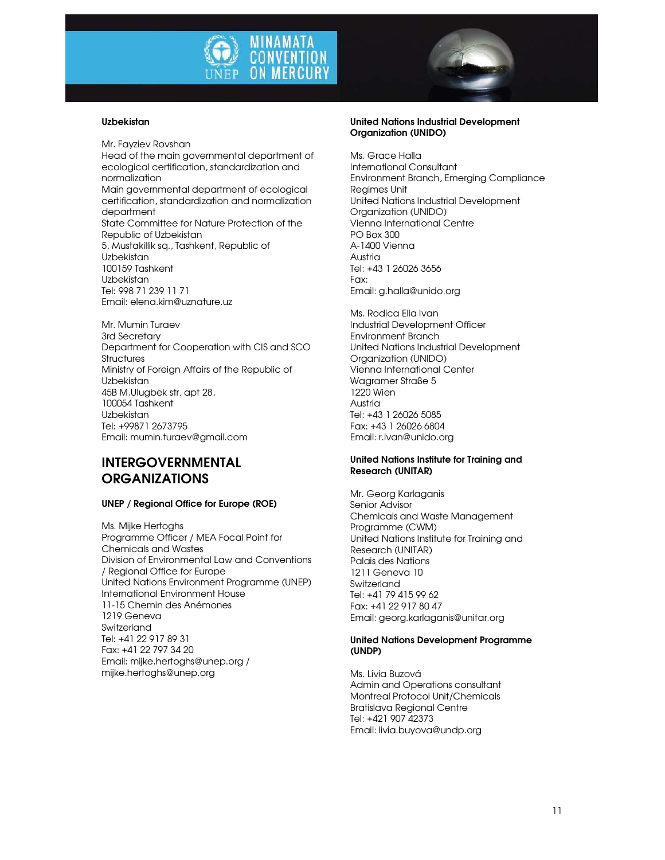



#### Uzbekistan

Mr. Fayziev Rovshan Head of the main governmental department of ecological certification, standardization and normalization Main governmental department of ecological certification, standardization and normalization department State Committee for Nature Protection of the Republic of Uzbekistan 5, Мustakillik sq., Tashkent, Republic of Uzbekistan 100159 Tashkent Uzbekistan Tel: 998 71 239 11 71 Email: elena.kim@uznature.uz

Mr. Mumin Turaev 3rd Secretary Department for Cooperation with CIS and SCO **Structures** Ministry of Foreign Affairs of the Republic of Uzbekistan 45B M.Ulugbek str, apt 28, 100054 Tashkent Uzbekistan Tel: +99871 2673795 Email: mumin.turaev@gmail.com

## INTERGOVERNMENTAL **ORGANIZATIONS**

#### UNEP / Regional Office for Europe (ROE)

Ms. Mijke Hertoghs Programme Officer / MEA Focal Point for Chemicals and Wastes Division of Environmental Law and Conventions / Regional Office for Europe United Nations Environment Programme (UNEP) International Environment House 11-15 Chemin des Anémones 1219 Geneva **Switzerland** Tel: +41 22 917 89 31 Fax: +41 22 797 34 20 Email: mijke.hertoghs@unep.org / mijke.hertoghs@unep.org

#### United Nations Industrial Development Organization (UNIDO)

Ms. Grace Halla International Consultant Environment Branch, Emerging Compliance Regimes Unit United Nations Industrial Development Organization (UNIDO) Vienna International Centre PO Box 300 A-1400 Vienna Austria Tel: +43 1 26026 3656 Fax: Email: g.halla@unido.org

Ms. Rodica Ella Ivan Industrial Development Officer Environment Branch United Nations Industrial Development Organization (UNIDO) Vienna International Center Wagramer Straße 5 1220 Wien Austria Tel: +43 1 26026 5085 Fax: +43 1 26026 6804 Email: r.ivan@unido.org

#### United Nations Institute for Training and Research (UNITAR)

Mr. Georg Karlaganis Senior Advisor Chemicals and Waste Management Programme (CWM) United Nations Institute for Training and Research (UNITAR) Palais des Nations 1211 Geneva 10 Switzerland Tel: +41 79 415 99 62 Fax: +41 22 917 80 47 Email: georg.karlaganis@unitar.org

#### United Nations Development Programme (UNDP)

Ms. Lívia Buzová Admin and Operations consultant Montreal Protocol Unit/Chemicals Bratislava Regional Centre Tel: +421 907 42373 Email: livia.buyova@undp.org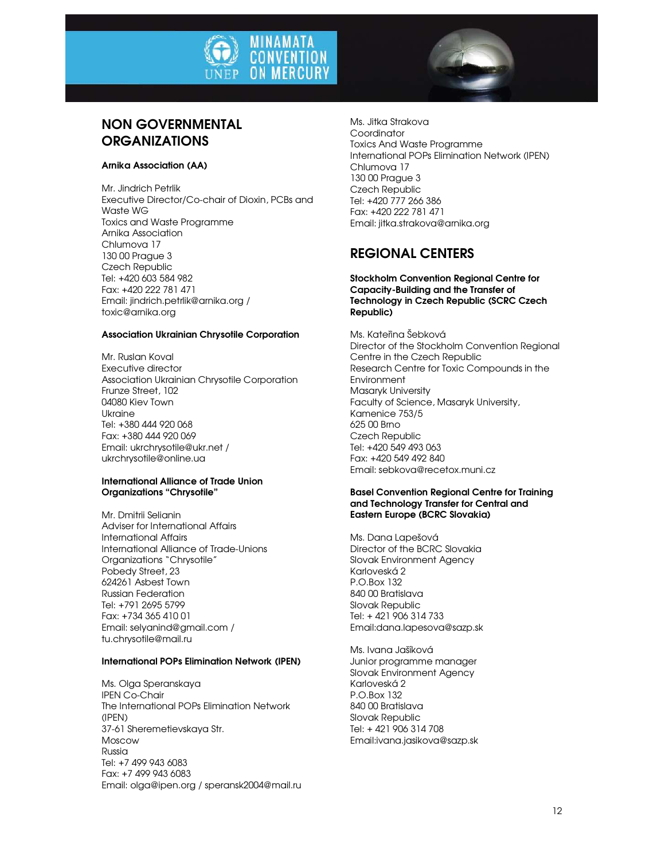



# NON GOVERNMENTAL **ORGANIZATIONS**

#### Arnika Association (AA)

Mr. Jindrich Petrlik Executive Director/Co-chair of Dioxin, PCBs and Waste WG Toxics and Waste Programme Arnika Association Chlumova 17 130 00 Prague 3 Czech Republic Tel: +420 603 584 982 Fax: +420 222 781 471 Email: jindrich.petrlik@arnika.org / toxic@arnika.org

### Association Ukrainian Chrysotile Corporation

Mr. Ruslan Koval Executive director Association Ukrainian Chrysotile Corporation Frunze Street, 102 04080 Kiev Town Ukraine Tel: +380 444 920 068 Fax: +380 444 920 069 Email: ukrchrysotile@ukr.net / ukrchrysotile@online.ua

#### International Alliance of Trade Union Organizations "Chrysotile"

Mr. Dmitrii Selianin Adviser for International Affairs International Affairs International Alliance of Trade-Unions Organizations "Chrysotile" Pobedy Street, 23 624261 Asbest Town Russian Federation Tel: +791 2695 5799 Fax: +734 365 410 01 Email: selyanind@gmail.com / tu.chrysotile@mail.ru

### International POPs Elimination Network (IPEN)

Ms. Olga Speranskaya IPEN Co-Chair The International POPs Elimination Network (IPEN) 37-61 Sheremetievskaya Str. Moscow Russia Tel: +7 499 943 6083 Fax: +7 499 943 6083 Email: olga@ipen.org / speransk2004@mail.ru Ms. Jitka Strakova **Coordinator** Toxics And Waste Programme International POPs Elimination Network (IPEN) Chlumova 17 130 00 Prague 3 Czech Republic Tel: +420 777 266 386 Fax: +420 222 781 471 Email: jitka.strakova@arnika.org

# REGIONAL CENTERS

#### Stockholm Convention Regional Centre for Capacity-Building and the Transfer of Technology in Czech Republic (SCRC Czech Republic)

Ms. Kateřina Šebková Director of the Stockholm Convention Regional Centre in the Czech Republic Research Centre for Toxic Compounds in the **Environment** Masaryk University Faculty of Science, Masaryk University, Kamenice 753/5 625 00 Brno Czech Republic Tel: +420 549 493 063 Fax: +420 549 492 840 Email: sebkova@recetox.muni.cz

#### Basel Convention Regional Centre for Training and Technology Transfer for Central and Eastern Europe (BCRC Slovakia)

Ms. Dana Lapešová Director of the BCRC Slovakia Slovak Environment Agency Karloveská 2 P.O.Box 132 840 00 Bratislava Slovak Republic Tel: + 421 906 314 733 Email:dana.lapesova@sazp.sk

Ms. Ivana Jašíková Junior programme manager Slovak Environment Agency Karloveská 2 P.O.Box 132 840 00 Bratislava Slovak Republic Tel: + 421 906 314 708 Email:ivana.jasikova@sazp.sk